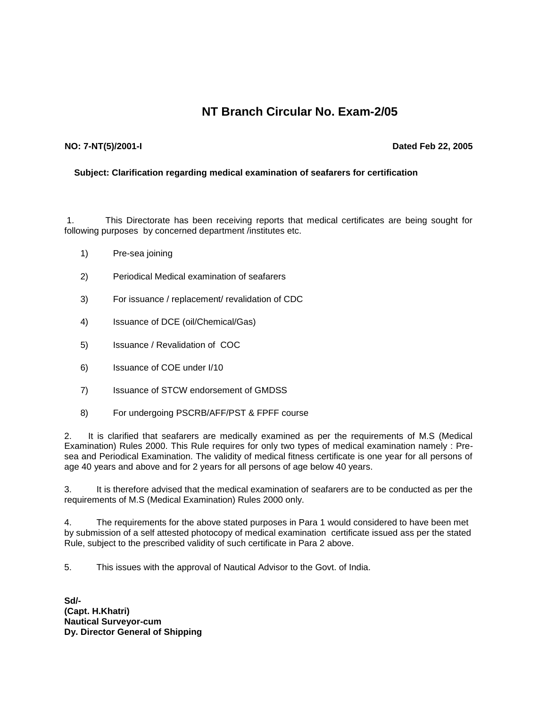## **NT Branch Circular No. Exam-2/05**

## **NO: 7-NT(5)/2001-I**

## **Dated Feb 22, 2005**

## **Subject: Clarification regarding medical examination of seafarers for certification**

1. This Directorate has been receiving reports that medical certificates are being sought for following purposes by concerned department /institutes etc.

- 1) Pre-sea joining
- 2) Periodical Medical examination of seafarers
- 3) For issuance / replacement/ revalidation of CDC
- 4) Issuance of DCE (oil/Chemical/Gas)
- 5) Issuance / Revalidation of COC
- 6) Issuance of COE under I/10
- 7) Issuance of STCW endorsement of GMDSS
- 8) For undergoing PSCRB/AFF/PST & FPFF course

2. It is clarified that seafarers are medically examined as per the requirements of M.S (Medical Examination) Rules 2000. This Rule requires for only two types of medical examination namely : Presea and Periodical Examination. The validity of medical fitness certificate is one year for all persons of age 40 years and above and for 2 years for all persons of age below 40 years.

3. It is therefore advised that the medical examination of seafarers are to be conducted as per the requirements of M.S (Medical Examination) Rules 2000 only.

4. The requirements for the above stated purposes in Para 1 would considered to have been met by submission of a self attested photocopy of medical examination certificate issued ass per the stated Rule, subject to the prescribed validity of such certificate in Para 2 above.

5. This issues with the approval of Nautical Advisor to the Govt. of India.

**Sd/- (Capt. H.Khatri) Nautical Surveyor-cum Dy. Director General of Shipping**